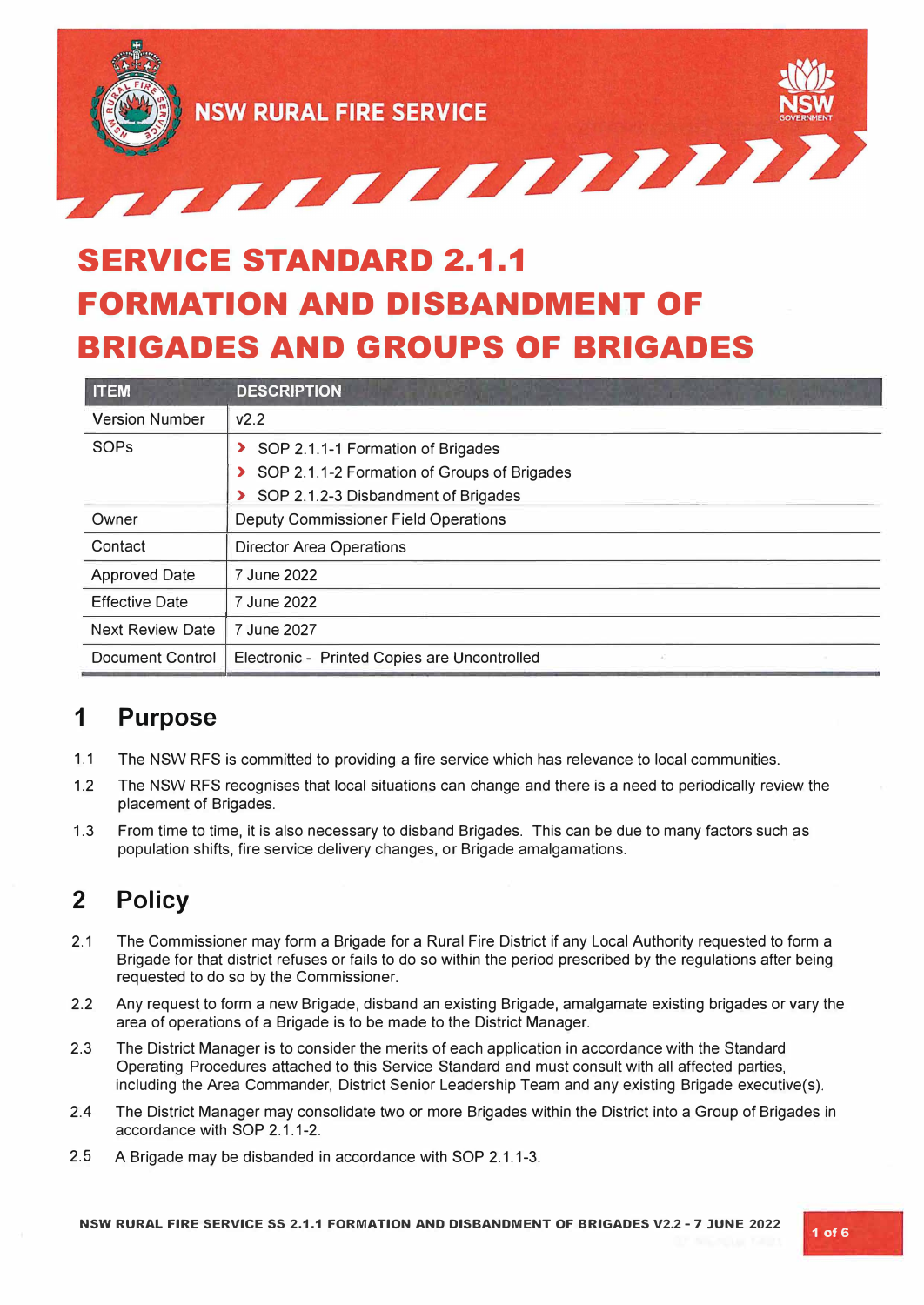

# **SERVICE STANDARD 2.1.1 FORMATION AND DISBANDMENT OF BRIGADES AND GROUPS OF BRIGADES**

| <b>ITEM</b>             | <b>DESCRIPTION</b>                           |  |  |
|-------------------------|----------------------------------------------|--|--|
| <b>Version Number</b>   | V2.2                                         |  |  |
| <b>SOPs</b>             | SOP 2.1.1-1 Formation of Brigades            |  |  |
|                         | SOP 2.1.1-2 Formation of Groups of Brigades  |  |  |
|                         | SOP 2.1.2-3 Disbandment of Brigades          |  |  |
| Owner                   | <b>Deputy Commissioner Field Operations</b>  |  |  |
| Contact                 | <b>Director Area Operations</b>              |  |  |
| <b>Approved Date</b>    | 7 June 2022                                  |  |  |
| <b>Effective Date</b>   | 7 June 2022                                  |  |  |
| <b>Next Review Date</b> | 7 June 2027                                  |  |  |
| Document Control        | Electronic - Printed Copies are Uncontrolled |  |  |

### **1 Purpose**

- 1.1 The NSW RFS is committed to providing a fire service which has relevance to local communities.
- 1.2 The NSW RFS recognises that local situations can change and there is a need to periodically review the placement of Brigades.
- 1.3 From time to time, it is also necessary to disband Brigades. This can be due to many factors such as population shifts, fire service delivery changes, or Brigade amalgamations.

## **2 Policy**

- 2.1 The Commissioner may form a Brigade for a Rural Fire District if any Local Authority requested to form a Brigade for that district refuses or fails to do so within the period prescribed by the regulations after being requested to do so by the Commissioner.
- 2.2 Any request to form a new Brigade, disband an existing Brigade, amalgamate existing brigades or vary the area of operations of a Brigade is to be made to the District Manager.
- 2.3 The District Manager is to consider the merits of each application in accordance with the Standard Operating Procedures attached to this Service Standard and must consult with all affected parties, including the Area Commander, District Senior Leadership Team and any existing Brigade executive(s).
- 2.4 The District Manager may consolidate two or more Brigades within the District into a Group of Brigades in accordance with SOP 2.1.1-2.
- 2.5 A Brigade may be disbanded in accordance with SOP 2.1.1-3.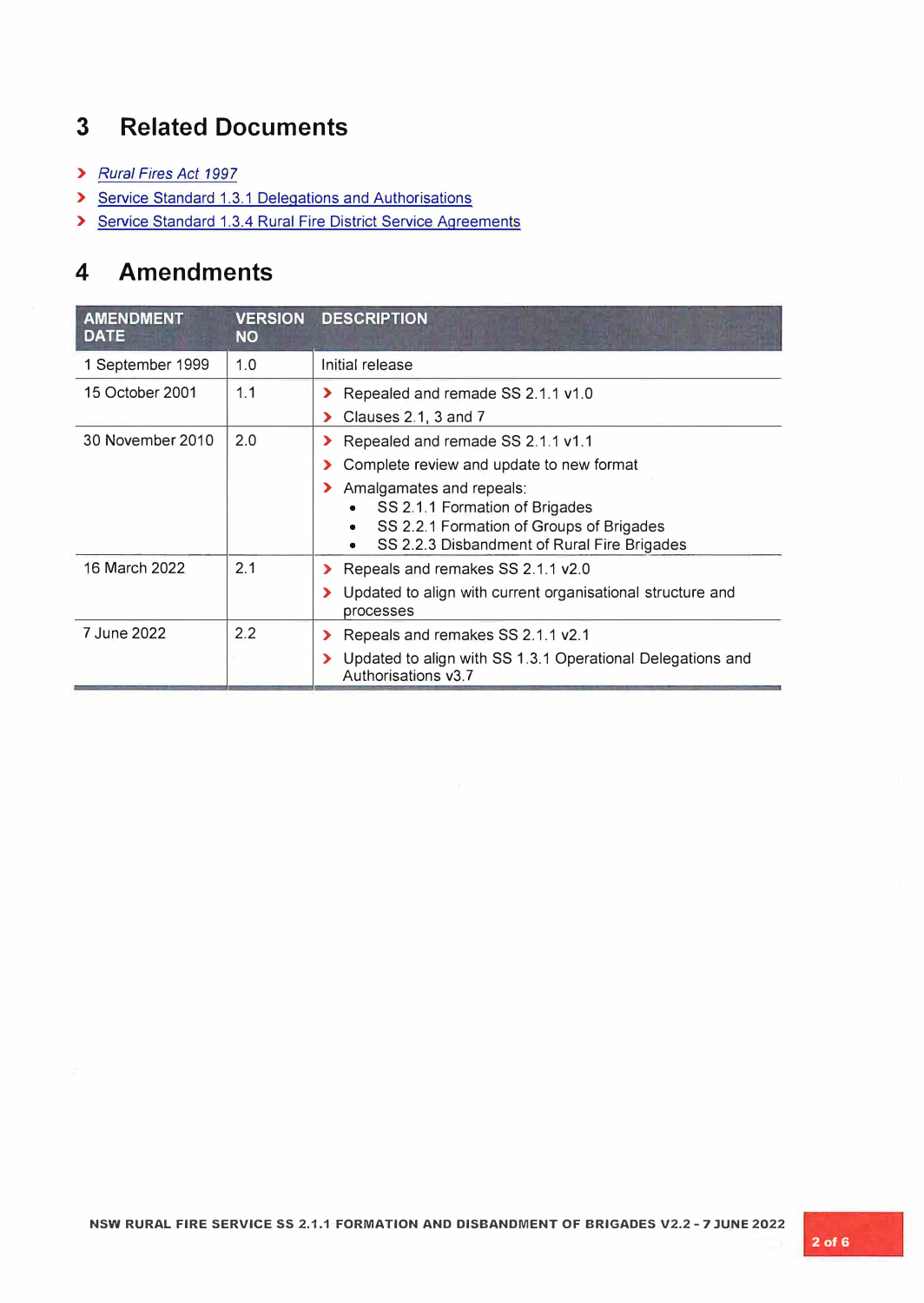## **3 Related Documents**

- **>** *Rural Fires Act 1997*
- **>** Service Standard 1.3.1 Delegations and Authorisations
- **>** Service Standard 1.3.4 Rural Fire District Service Agreements

## **4 Amendments**

| <b>AMENDMENT</b><br><b>DATE</b> | <b>VERSION</b><br><b>NO</b> | <b>DESCRIPTION</b>                                                                                                                                                                                                                                                                               |
|---------------------------------|-----------------------------|--------------------------------------------------------------------------------------------------------------------------------------------------------------------------------------------------------------------------------------------------------------------------------------------------|
| 1 September 1999                | 1.0                         | Initial release                                                                                                                                                                                                                                                                                  |
| 15 October 2001                 | 1.1                         | Repealed and remade SS 2.1.1 v1.0<br>⋗<br>Clauses 2.1, 3 and 7<br>⋗                                                                                                                                                                                                                              |
| 30 November 2010                | 2.0                         | Repealed and remade SS 2.1.1 v1.1<br>$\blacktriangleright$<br>Complete review and update to new format<br>⋗<br>> Amalgamates and repeals:<br>SS 2.1.1 Formation of Brigades<br>SS 2.2.1 Formation of Groups of Brigades<br>$\bullet$<br>SS 2.2.3 Disbandment of Rural Fire Brigades<br>$\bullet$ |
| 16 March 2022                   | 2.1                         | Repeals and remakes SS 2.1.1 v2.0<br>$\blacktriangleright$<br>Updated to align with current organisational structure and<br>processes                                                                                                                                                            |
| 7 June 2022                     | 2.2                         | Repeals and remakes SS 2.1.1 v2.1<br>⋗<br>Updated to align with SS 1.3.1 Operational Delegations and<br>Authorisations v3.7                                                                                                                                                                      |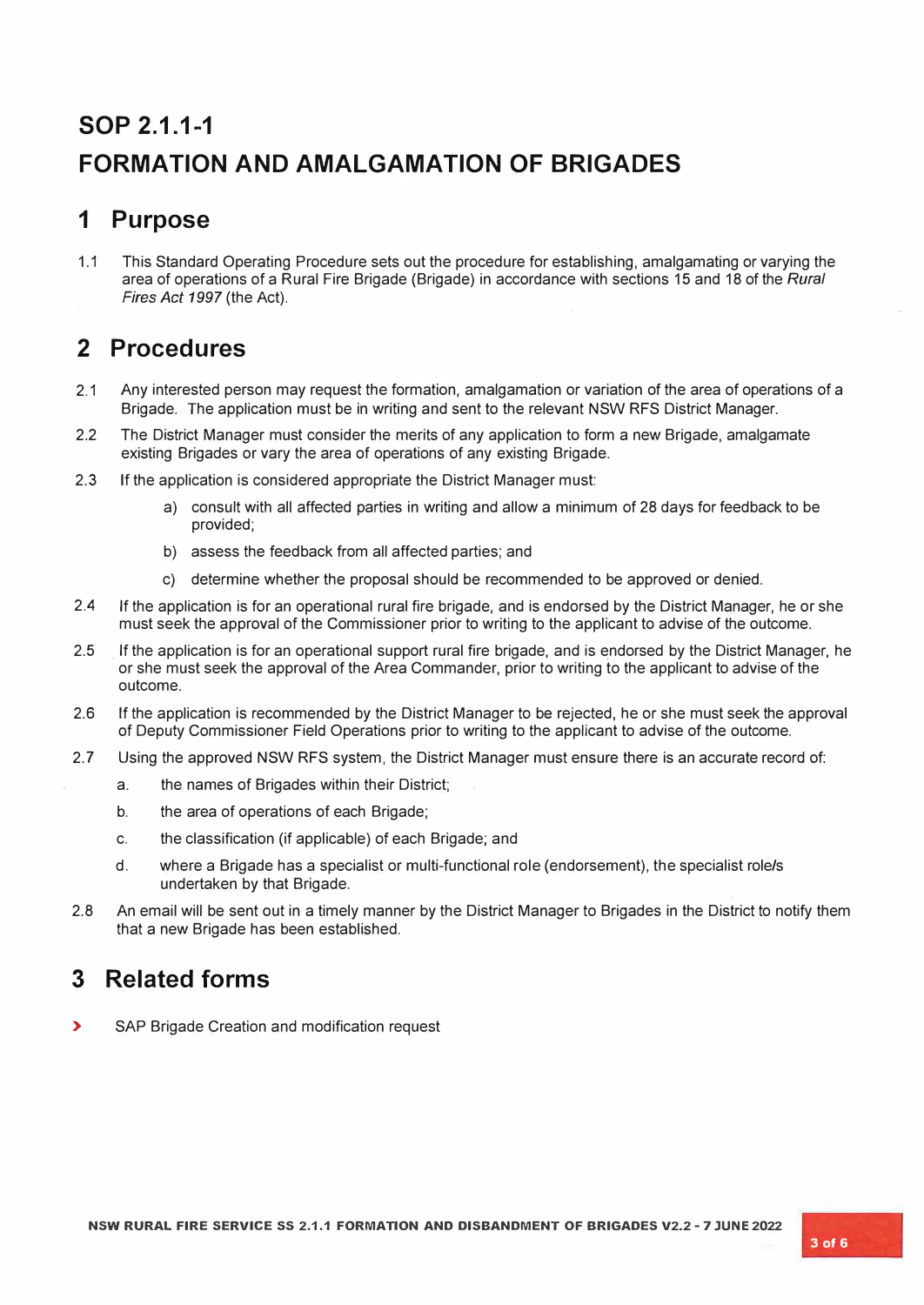## **SOP 2.1.1-1 FORMATION AND AMALGAMATION OF BRIGADES**

## **1 Purpose**

1.1 This Standard Operating Procedure sets out the procedure for establishing, amalgamating or varying the area of operations of a Rural Fire Brigade (Brigade) in accordance with sections 15 and 18 of the *Rural Fires Act 1997* (the Act).

## **2 Procedures**

- 2.1 Any interested person may request the formation, amalgamation or variation of the area of operations of a Brigade. The application must be in writing and sent to the relevant NSW RFS District Manager.
- 2.2 The District Manager must consider the merits of any application to form a new Brigade, amalgamate existing Brigades or vary the area of operations of any existing Brigade.
- 2.3 If the application is considered appropriate the District Manager must:
	- a) consult with all affected parties in writing and allow a minimum of 28 days for feedback to be provided;
	- b) assess the feedback from all affected parties; and
	- c) determine whether the proposal should be recommended to be approved or denied.
- 2.4 If the application is for an operational rural fire brigade, and is endorsed by the District Manager, he or she must seek the approval of the Commissioner prior to writing to the applicant to advise of the outcome.
- 2.5 . If the application is for an operational support rural fire brigade, and is endorsed by the District Manager, he or she must seek the approval of the Area Commander, prior to writing to the applicant to advise of the outcome.
- 2.6 If the application is recommended by the District Manager to be rejected, he or she must seek the approval of Deputy Commissioner Field Operations prior to writing to the applicant to advise of the outcome.
- 2.7 Using the approved NSW RFS system, the District Manager must ensure there is an accurate record of:
	- a. the names of Brigades within their District;
	- b. the area of operations of each Brigade;
	- c. the classification (if applicable) of each Brigade; and
	- d. where a Brigade has a specialist or multi-functional role (endorsement), the specialist role/s undertaken by that Brigade.
- 2.8 An email will be sent out in a timely manner by the District Manager to Brigades in the District to notify them that a new Brigade has been established.

### **3 Related forms**

**>** SAP Brigade Creation and modification request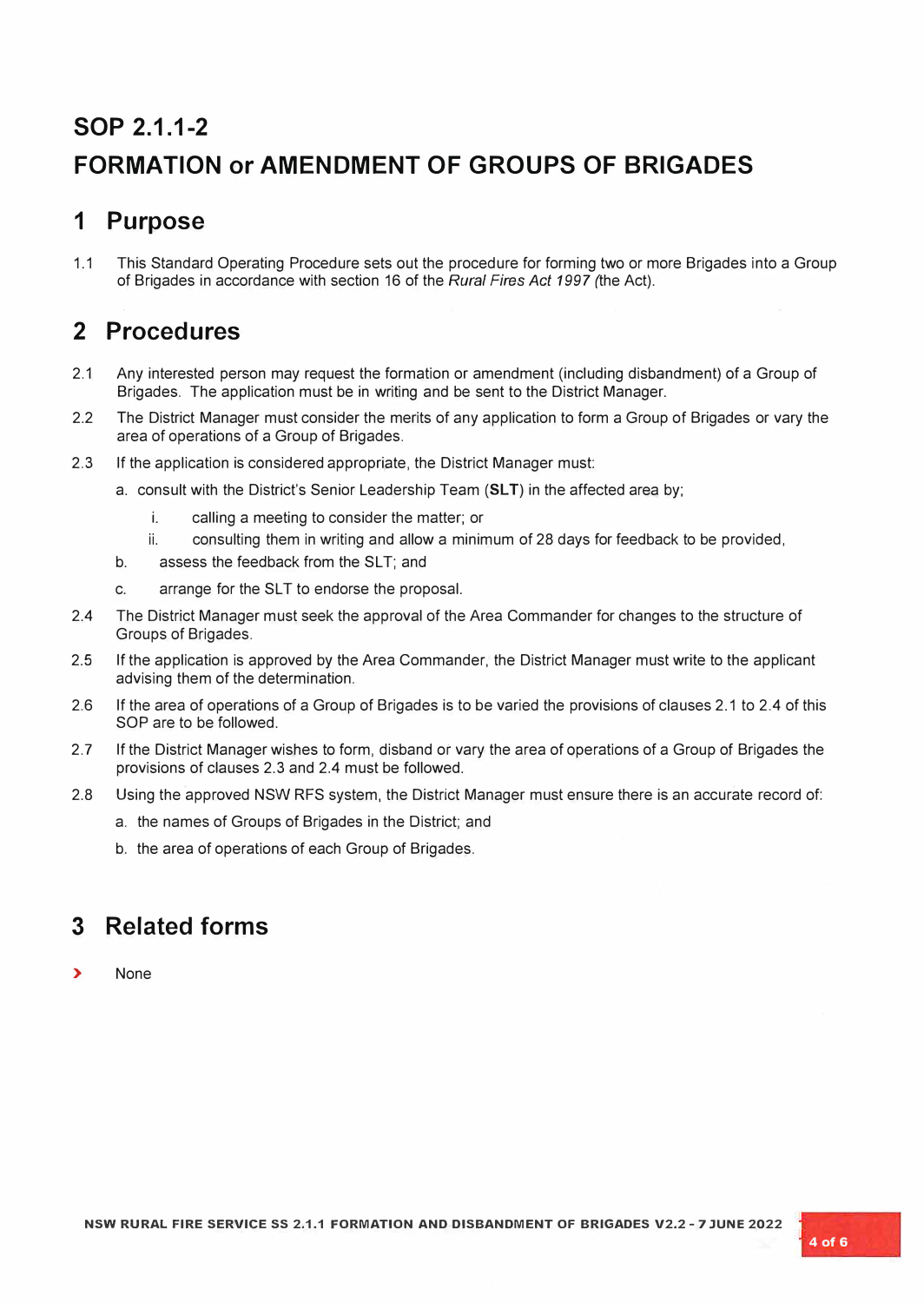## **SOP 2.1.1-2**

## **FORMATION or AMENDMENT OF GROUPS OF BRIGADES**

#### **1 Purpose**

1.1 This Standard Operating Procedure sets out the procedure for forming two or more Brigades into a Group of Brigades in accordance with section 16 of the *Rural Fires Act 1997* (the Act).

### **2 Procedures**

- 2.1 Any interested person may request the formation or amendment (including disbandment) of a Group of Brigades. The application must be in writing and be sent to the District Manager.
- 2.2 The District Manager must consider the merits of any application to form a Group of Brigades or vary the area of operations of a Group of Brigades.
- 2.3 If the application is considered appropriate, the District Manager must:
	- a. consult with the District's Senior Leadership Team **(SL T)** in the affected area by;
		- i. calling a meeting to consider the matter; or
		- ii. consulting them in writing and allow a minimum of 28 days for feedback to be provided,
	- b. assess the feedback from the SLT; and
	- c. arrange for the SLT to endorse the proposal.
- 2.4 The District Manager must seek the approval of the Area Commander for changes to the structure of Groups of Brigades.
- 2.5 If the application is approved by the Area Commander, the District Manager must write to the applicant advising them of the determination.
- 2.6 If the area of operations of a Group of Brigades is to be varied the provisions of clauses 2.1 to 2.4 of this SOP are to be followed.
- 2.7 If the District Manager wishes to form, disband or vary the area of operations of a Group of Brigades the provisions of clauses 2.3 and 2.4 must be followed.
- 2.8 Using the approved NSW RFS system, the District Manager must ensure there is an accurate record of:
	- a. the names of Groups of Brigades in the District; and
	- b. the area of operations of each Group of Brigades.

### **3 Related forms**

**>** None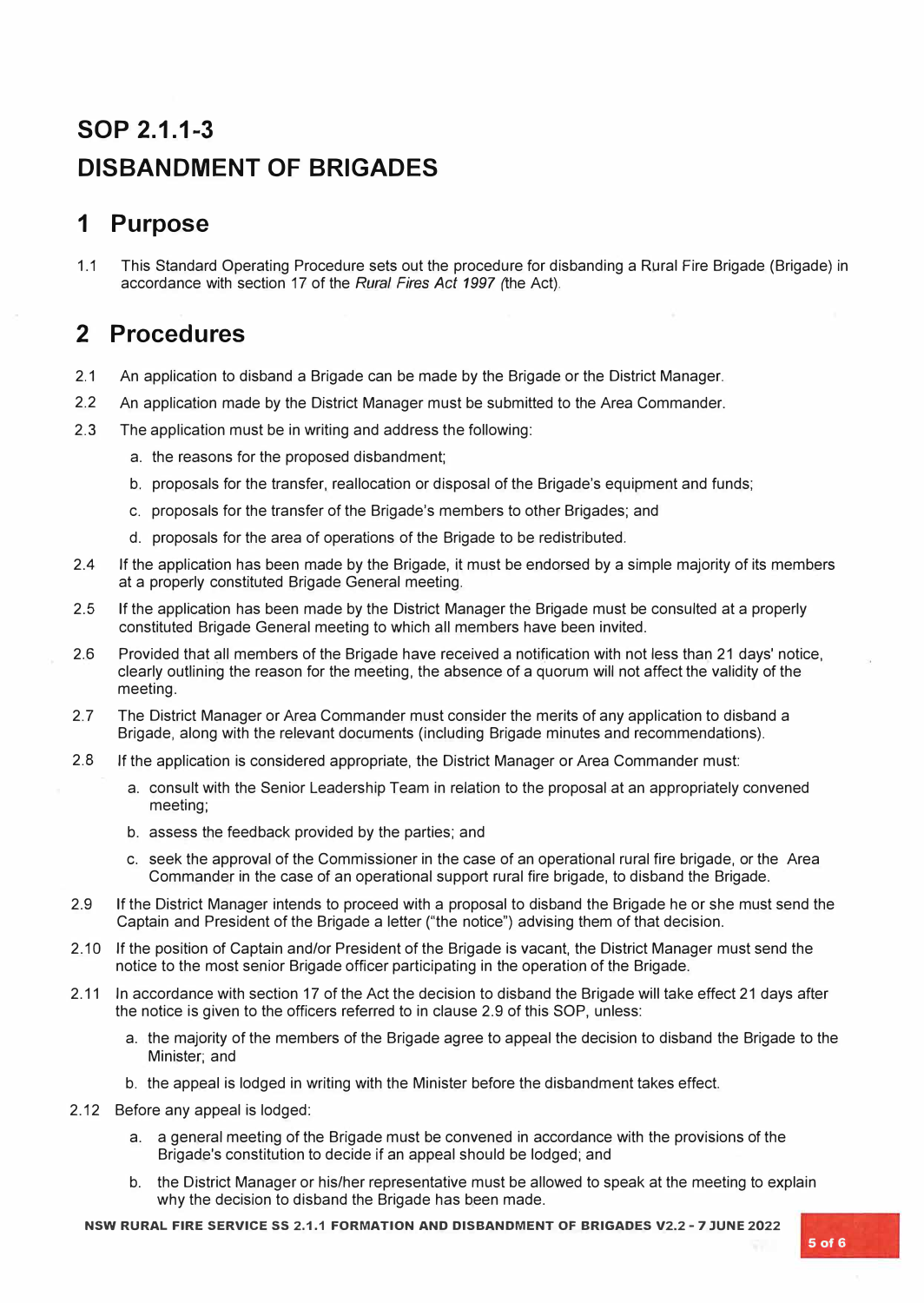## **SOP 2.1.1-3 DISBANDMENT OF BRIGADES**

## **1 Purpose**

1.1 This Standard Operating Procedure sets out the procedure for disbanding a Rural Fire Brigade (Brigade) in accordance with section 17 of the *Rural Fires Act 1997* (the Act).

### **2 Procedures**

- 2.1 An application to disband a Brigade can be made by the Brigade or the District Manager.
- 2.2 An application made by the District Manager must be submitted to the Area Commander.
- 2.3 The application must be in writing and address the following:
	- a. the reasons for the proposed disbandment;
	- b. proposals for the transfer, reallocation or disposal of the Brigade's equipment and funds;
	- c. proposals for the transfer of the Brigade's members to other Brigades; and
	- d. proposals for the area of operations of the Brigade to be redistributed.
- 2.4 If the application has been made by the Brigade, it must be endorsed by a simple majority of its members at a properly constituted Brigade General meeting.
- 2.5 If the application has been made by the District Manager the Brigade must be consulted at a properly constituted Brigade General meeting to which all members have been invited.
- 2.6 Provided that all members of the Brigade have received a notification with not less than 21 days' notice, clearly outlining the reason for the meeting, the absence of a quorum will not affect the validity of the meeting.
- 2.7 The District Manager or Area Commander must consider the merits of any application to disband a Brigade, along with the relevant documents (including Brigade minutes and recommendations).
- 2.8 If the application is considered appropriate, the District Manager or Area Commander must:
	- a. consult with the Senior Leadership Team in relation to the proposal at an appropriately convened meeting;
	- b. assess the feedback provided by the parties; and
	- c. seek the approval of the Commissioner in the case of an operational rural fire brigade, or the Area Commander in the case of an operational support rural fire brigade, to disband the Brigade.
- 2.9 If the District Manager intends to proceed with a proposal to disband the Brigade he or she must send the Captain and President of the Brigade a letter ("the notice") advising them of that decision.
- 2.10 If the position of Captain and/or President of the Brigade is vacant, the District Manager must send the notice to the most senior Brigade officer participating in the operation of the Brigade.
- 2.11 In accordance with section 17 of the Act the decision to disband the Brigade will take effect 21 days after the notice is given to the officers referred to in clause 2.9 of this SOP, unless:
	- a. the majority of the members of the Brigade agree to appeal the decision to disband the Brigade to the Minister; and
	- b. the appeal is lodged in writing with the Minister before the disbandment takes effect.
- 2.12 Before any appeal is lodged:
	- a. a general meeting of the Brigade must be convened in accordance with the provisions of the Brigade's constitution to decide if an appeal should be lodged; and
	- b. the District Manager or his/her representative must be allowed to speak at the meeting to explain why the decision to disband the Brigade has been made.

**NSW RURAL FIRE SERVICE 55 2.1.1 FORMATION AND DISBANDMENT OF BRIGADES V2.2 - 7 JUNE 2022**